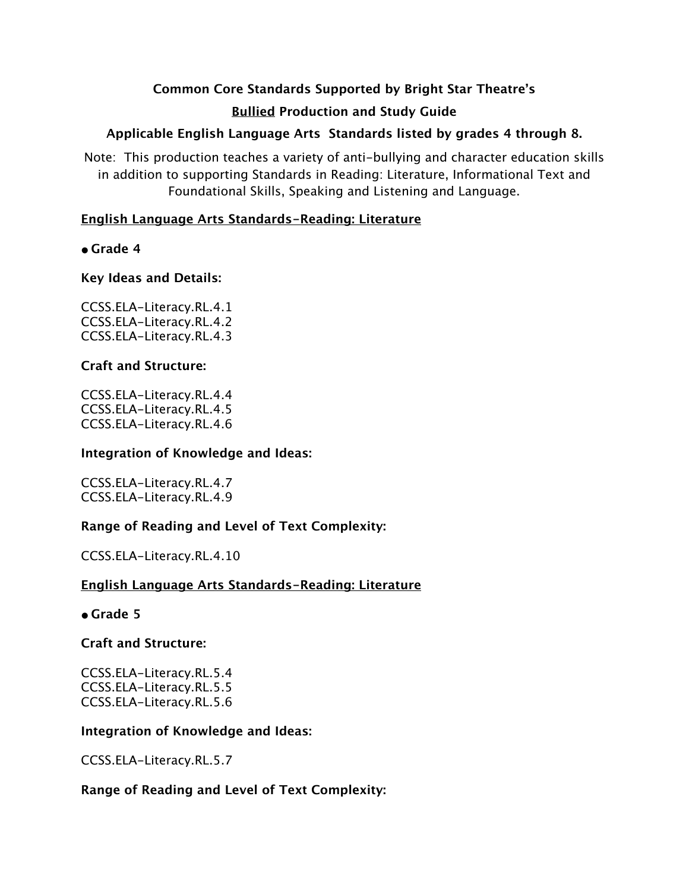# **Common Core Standards Supported by Bright Star Theatre's Bullied Production and Study Guide**

# **Applicable English Language Arts Standards listed by grades 4 through 8.**

Note: This production teaches a variety of anti-bullying and character education skills in addition to supporting Standards in Reading: Literature, Informational Text and Foundational Skills, Speaking and Listening and Language.

# **English Language Arts Standards-Reading: Literature**

# **• Grade 4**

# **Key Ideas and Details:**

CCSS.ELA-Literacy.RL.4.1 CCSS.ELA-Literacy.RL.4.2 CCSS.ELA-Literacy.RL.4.3

# **Craft and Structure:**

CCSS.ELA-Literacy.RL.4.4 CCSS.ELA-Literacy.RL.4.5 CCSS.ELA-Literacy.RL.4.6

## **Integration of Knowledge and Ideas:**

CCSS.ELA-Literacy.RL.4.7 CCSS.ELA-Literacy.RL.4.9

# **Range of Reading and Level of Text Complexity:**

CCSS.ELA-Literacy.RL.4.10

# **English Language Arts Standards-Reading: Literature**

## **• Grade 5**

# **Craft and Structure:**

CCSS.ELA-Literacy.RL.5.4 CCSS.ELA-Literacy.RL.5.5 CCSS.ELA-Literacy.RL.5.6

## **Integration of Knowledge and Ideas:**

CCSS.ELA-Literacy.RL.5.7

# **Range of Reading and Level of Text Complexity:**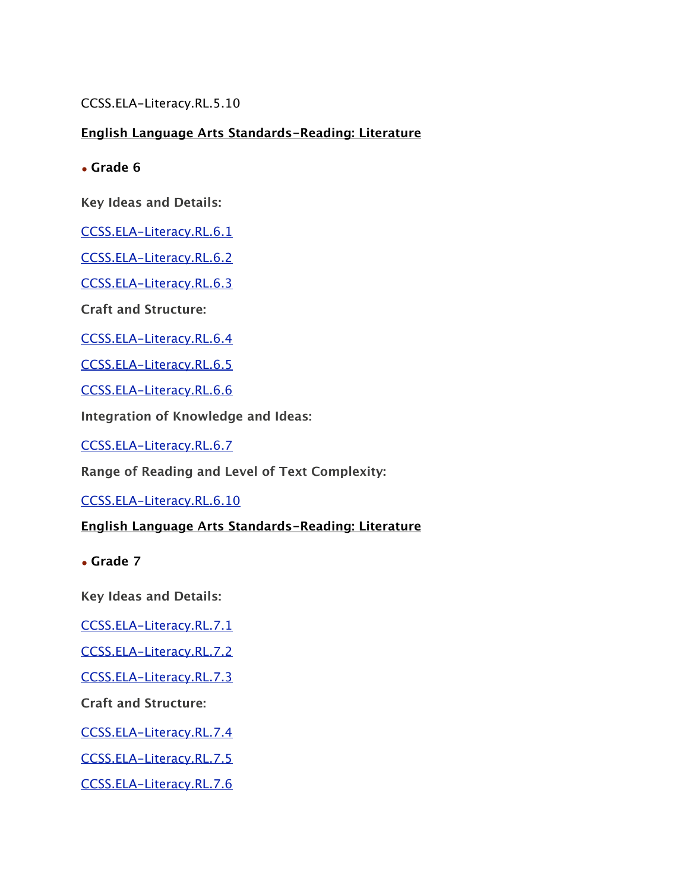CCSS.ELA-Literacy.RL.5.10

# **English Language Arts Standards-Reading: Literature**

• **Grade 6**

**Key Ideas and Details:**

[CCSS.ELA-Literacy.RL.6.1](http://www.corestandards.org/ELA-Literacy/RL/6/1/)

[CCSS.ELA-Literacy.RL.6.2](http://www.corestandards.org/ELA-Literacy/RL/6/2/)

[CCSS.ELA-Literacy.RL.6.3](http://www.corestandards.org/ELA-Literacy/RL/6/3/)

**Craft and Structure:**

[CCSS.ELA-Literacy.RL.6.4](http://www.corestandards.org/ELA-Literacy/RL/6/4/)

[CCSS.ELA-Literacy.RL.6.5](http://www.corestandards.org/ELA-Literacy/RL/6/5/)

[CCSS.ELA-Literacy.RL.6.6](http://www.corestandards.org/ELA-Literacy/RL/6/6/)

**Integration of Knowledge and Ideas:**

[CCSS.ELA-Literacy.RL.6.7](http://www.corestandards.org/ELA-Literacy/RL/6/7/)

**Range of Reading and Level of Text Complexity:**

[CCSS.ELA-Literacy.RL.6.10](http://www.corestandards.org/ELA-Literacy/RL/6/10/)

## **English Language Arts Standards-Reading: Literature**

• **Grade 7**

**Key Ideas and Details:**

[CCSS.ELA-Literacy.RL.7.1](http://www.corestandards.org/ELA-Literacy/RL/7/1/)

[CCSS.ELA-Literacy.RL.7.2](http://www.corestandards.org/ELA-Literacy/RL/7/2/)

[CCSS.ELA-Literacy.RL.7.3](http://www.corestandards.org/ELA-Literacy/RL/7/3/)

**Craft and Structure:**

[CCSS.ELA-Literacy.RL.7.4](http://www.corestandards.org/ELA-Literacy/RL/7/4/)

[CCSS.ELA-Literacy.RL.7.5](http://www.corestandards.org/ELA-Literacy/RL/7/5/)

[CCSS.ELA-Literacy.RL.7.6](http://www.corestandards.org/ELA-Literacy/RL/7/6/)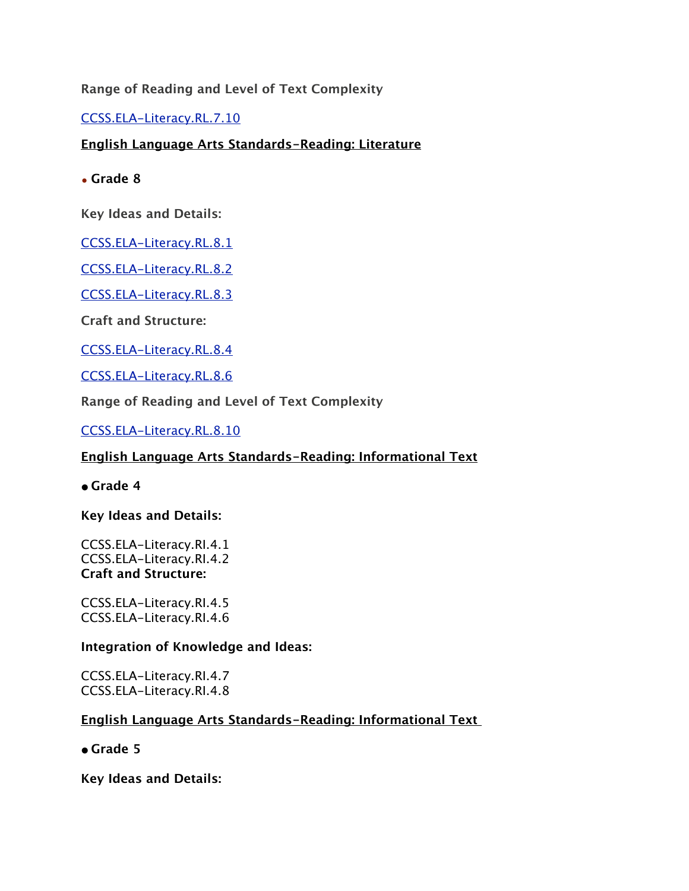## **Range of Reading and Level of Text Complexity**

[CCSS.ELA-Literacy.RL.7.10](http://www.corestandards.org/ELA-Literacy/RL/7/10/)

## **English Language Arts Standards-Reading: Literature**

• **Grade 8**

**Key Ideas and Details:**

[CCSS.ELA-Literacy.RL.8.1](http://www.corestandards.org/ELA-Literacy/RL/8/1/)

[CCSS.ELA-Literacy.RL.8.2](http://www.corestandards.org/ELA-Literacy/RL/8/2/)

[CCSS.ELA-Literacy.RL.8.3](http://www.corestandards.org/ELA-Literacy/RL/8/3/)

**Craft and Structure:**

[CCSS.ELA-Literacy.RL.8.4](http://www.corestandards.org/ELA-Literacy/RL/8/4/)

[CCSS.ELA-Literacy.RL.8.6](http://www.corestandards.org/ELA-Literacy/RL/8/6/)

**Range of Reading and Level of Text Complexity**

[CCSS.ELA-Literacy.RL.8.10](http://www.corestandards.org/ELA-Literacy/RL/8/10/)

## **English Language Arts Standards-Reading: Informational Text**

**• Grade 4**

**Key Ideas and Details:**

CCSS.ELA-Literacy.RI.4.1 CCSS.ELA-Literacy.RI.4.2 **Craft and Structure:**

CCSS.ELA-Literacy.RI.4.5 CCSS.ELA-Literacy.RI.4.6

#### **Integration of Knowledge and Ideas:**

CCSS.ELA-Literacy.RI.4.7 CCSS.ELA-Literacy.RI.4.8

## **English Language Arts Standards-Reading: Informational Text**

**• Grade 5**

**Key Ideas and Details:**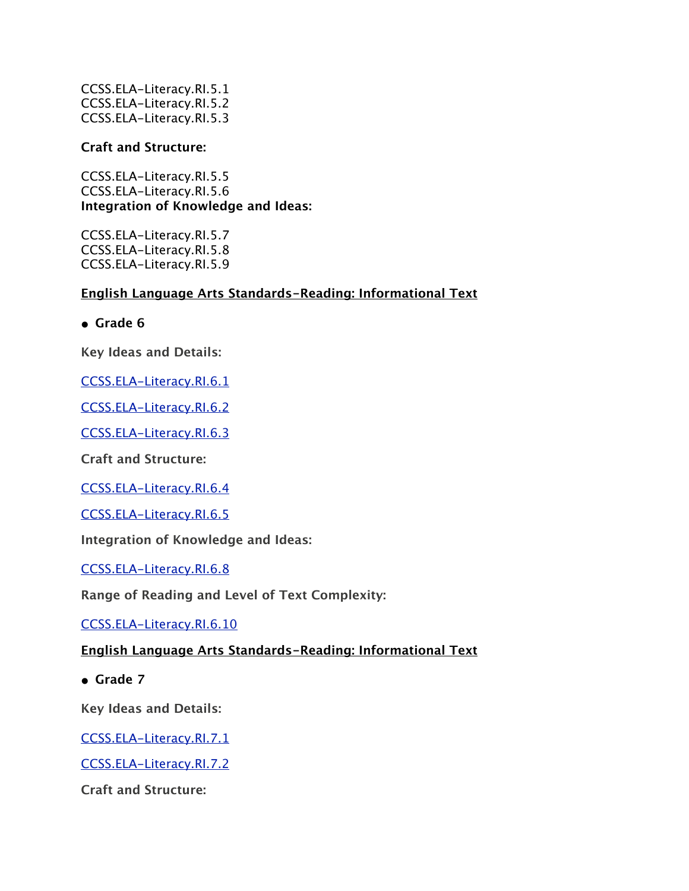CCSS.ELA-Literacy.RI.5.1 CCSS.ELA-Literacy.RI.5.2 CCSS.ELA-Literacy.RI.5.3

### **Craft and Structure:**

CCSS.ELA-Literacy.RI.5.5 CCSS.ELA-Literacy.RI.5.6 **Integration of Knowledge and Ideas:**

CCSS.ELA-Literacy.RI.5.7 CCSS.ELA-Literacy.RI.5.8 CCSS.ELA-Literacy.RI.5.9

# **English Language Arts Standards-Reading: Informational Text**

**• Grade 6**

**Key Ideas and Details:**

[CCSS.ELA-Literacy.RI.6.1](http://www.corestandards.org/ELA-Literacy/RI/6/1/)

[CCSS.ELA-Literacy.RI.6.2](http://www.corestandards.org/ELA-Literacy/RI/6/2/)

[CCSS.ELA-Literacy.RI.6.3](http://www.corestandards.org/ELA-Literacy/RI/6/3/)

**Craft and Structure:**

[CCSS.ELA-Literacy.RI.6.4](http://www.corestandards.org/ELA-Literacy/RI/6/4/)

[CCSS.ELA-Literacy.RI.6.5](http://www.corestandards.org/ELA-Literacy/RI/6/5/)

**Integration of Knowledge and Ideas:**

[CCSS.ELA-Literacy.RI.6.8](http://www.corestandards.org/ELA-Literacy/RI/6/8/)

**Range of Reading and Level of Text Complexity:**

[CCSS.ELA-Literacy.RI.6.10](http://www.corestandards.org/ELA-Literacy/RI/6/10/)

### **English Language Arts Standards-Reading: Informational Text**

**• Grade 7**

**Key Ideas and Details:**

[CCSS.ELA-Literacy.RI.7.1](http://www.corestandards.org/ELA-Literacy/RI/7/1/)

[CCSS.ELA-Literacy.RI.7.2](http://www.corestandards.org/ELA-Literacy/RI/7/2/)

**Craft and Structure:**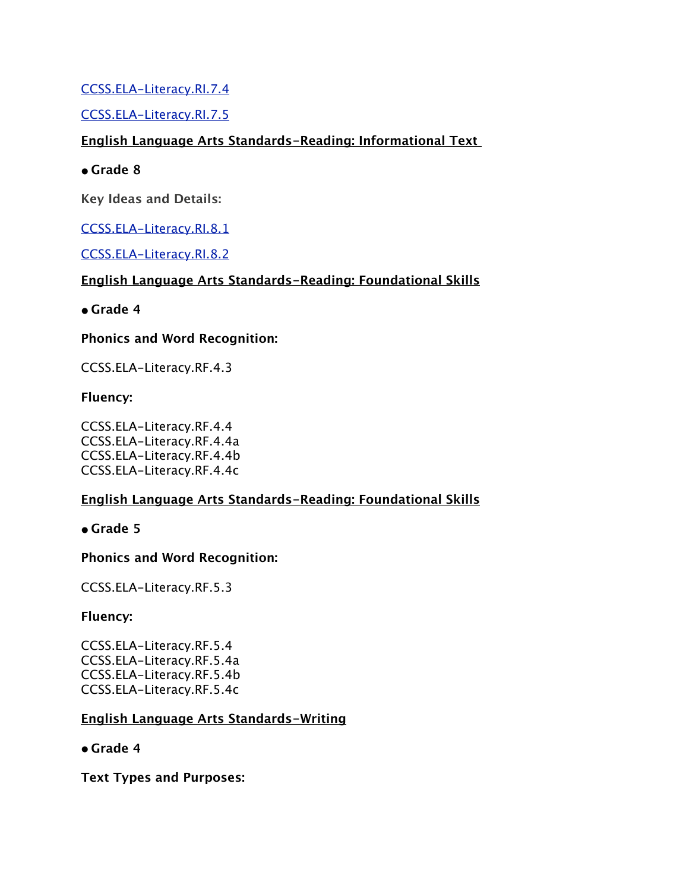# [CCSS.ELA-Literacy.RI.7.4](http://www.corestandards.org/ELA-Literacy/RI/7/4/)

# [CCSS.ELA-Literacy.RI.7.5](http://www.corestandards.org/ELA-Literacy/RI/7/5/)

# **English Language Arts Standards-Reading: Informational Text**

## **• Grade 8**

**Key Ideas and Details:**

# [CCSS.ELA-Literacy.RI.8.1](http://www.corestandards.org/ELA-Literacy/RI/8/1/)

## [CCSS.ELA-Literacy.RI.8.2](http://www.corestandards.org/ELA-Literacy/RI/8/2/)

# **English Language Arts Standards-Reading: Foundational Skills**

# **• Grade 4**

# **Phonics and Word Recognition:**

CCSS.ELA-Literacy.RF.4.3

# **Fluency:**

CCSS.ELA-Literacy.RF.4.4 CCSS.ELA-Literacy.RF.4.4a CCSS.ELA-Literacy.RF.4.4b CCSS.ELA-Literacy.RF.4.4c

# **English Language Arts Standards-Reading: Foundational Skills**

## **• Grade 5**

## **Phonics and Word Recognition:**

CCSS.ELA-Literacy.RF.5.3

## **Fluency:**

CCSS.ELA-Literacy.RF.5.4 CCSS.ELA-Literacy.RF.5.4a CCSS.ELA-Literacy.RF.5.4b CCSS.ELA-Literacy.RF.5.4c

## **English Language Arts Standards-Writing**

## **• Grade 4**

**Text Types and Purposes:**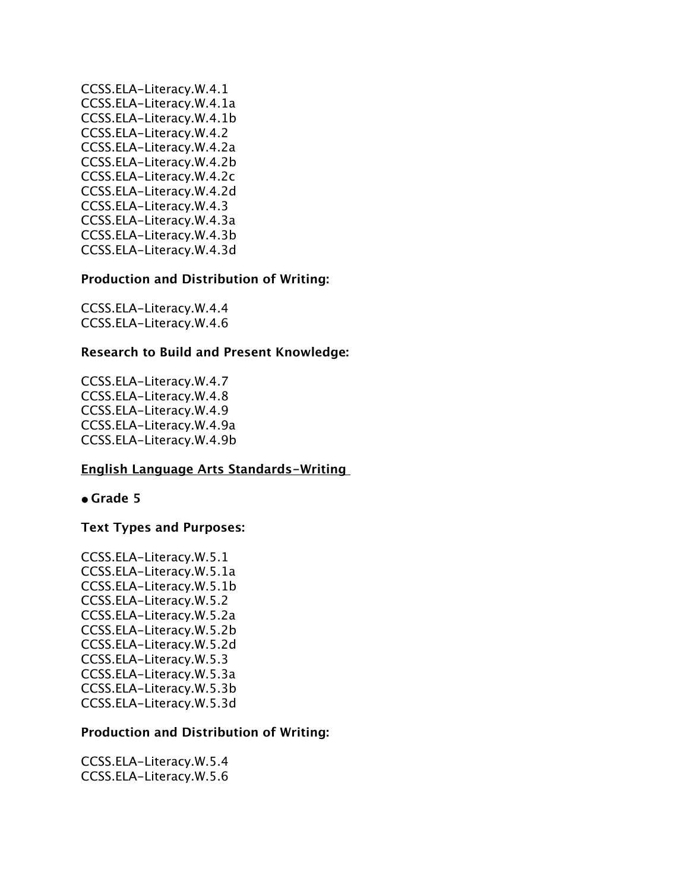CCSS.ELA-Literacy.W.4.1 CCSS.ELA-Literacy.W.4.1a CCSS.ELA-Literacy.W.4.1b CCSS.ELA-Literacy.W.4.2 CCSS.ELA-Literacy.W.4.2a CCSS.ELA-Literacy.W.4.2b CCSS.ELA-Literacy.W.4.2c CCSS.ELA-Literacy.W.4.2d CCSS.ELA-Literacy.W.4.3 CCSS.ELA-Literacy.W.4.3a CCSS.ELA-Literacy.W.4.3b CCSS.ELA-Literacy.W.4.3d

#### **Production and Distribution of Writing:**

CCSS.ELA-Literacy.W.4.4 CCSS.ELA-Literacy.W.4.6

#### **Research to Build and Present Knowledge:**

CCSS.ELA-Literacy.W.4.7 CCSS.ELA-Literacy.W.4.8 CCSS.ELA-Literacy.W.4.9 CCSS.ELA-Literacy.W.4.9a CCSS.ELA-Literacy.W.4.9b

#### **English Language Arts Standards-Writing**

#### **• Grade 5**

#### **Text Types and Purposes:**

CCSS.ELA-Literacy.W.5.1 CCSS.ELA-Literacy.W.5.1a CCSS.ELA-Literacy.W.5.1b CCSS.ELA-Literacy.W.5.2 CCSS.ELA-Literacy.W.5.2a CCSS.ELA-Literacy.W.5.2b CCSS.ELA-Literacy.W.5.2d CCSS.ELA-Literacy.W.5.3 CCSS.ELA-Literacy.W.5.3a CCSS.ELA-Literacy.W.5.3b CCSS.ELA-Literacy.W.5.3d

#### **Production and Distribution of Writing:**

CCSS.ELA-Literacy.W.5.4 CCSS.ELA-Literacy.W.5.6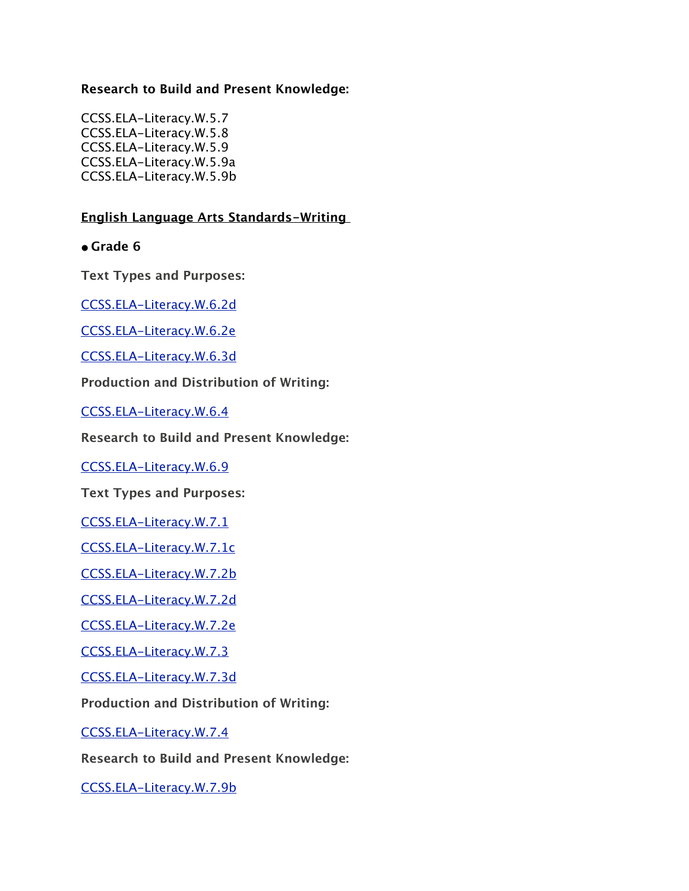## **Research to Build and Present Knowledge:**

CCSS.ELA-Literacy.W.5.7 CCSS.ELA-Literacy.W.5.8 CCSS.ELA-Literacy.W.5.9 CCSS.ELA-Literacy.W.5.9a CCSS.ELA-Literacy.W.5.9b

## **English Language Arts Standards-Writing**

**• Grade 6**

**Text Types and Purposes:**

[CCSS.ELA-Literacy.W.6.2d](http://www.corestandards.org/ELA-Literacy/W/6/2/d/)

[CCSS.ELA-Literacy.W.6.2e](http://www.corestandards.org/ELA-Literacy/W/6/2/e/)

[CCSS.ELA-Literacy.W.6.3d](http://www.corestandards.org/ELA-Literacy/W/6/3/d/)

**Production and Distribution of Writing:**

[CCSS.ELA-Literacy.W.6.4](http://www.corestandards.org/ELA-Literacy/W/6/4/)

**Research to Build and Present Knowledge:**

[CCSS.ELA-Literacy.W.6.9](http://www.corestandards.org/ELA-Literacy/W/6/9/)

**Text Types and Purposes:**

[CCSS.ELA-Literacy.W.7.1](http://www.corestandards.org/ELA-Literacy/W/7/1/)

[CCSS.ELA-Literacy.W.7.1c](http://www.corestandards.org/ELA-Literacy/W/7/1/c/)

[CCSS.ELA-Literacy.W.7.2b](http://www.corestandards.org/ELA-Literacy/W/7/2/b/)

[CCSS.ELA-Literacy.W.7.2d](http://www.corestandards.org/ELA-Literacy/W/7/2/d/)

[CCSS.ELA-Literacy.W.7.2e](http://www.corestandards.org/ELA-Literacy/W/7/2/e/)

[CCSS.ELA-Literacy.W.7.3](http://www.corestandards.org/ELA-Literacy/W/7/3/)

[CCSS.ELA-Literacy.W.7.3d](http://www.corestandards.org/ELA-Literacy/W/7/3/d/)

**Production and Distribution of Writing:**

[CCSS.ELA-Literacy.W.7.4](http://www.corestandards.org/ELA-Literacy/W/7/4/)

**Research to Build and Present Knowledge:**

[CCSS.ELA-Literacy.W.7.9b](http://www.corestandards.org/ELA-Literacy/W/7/9/b/)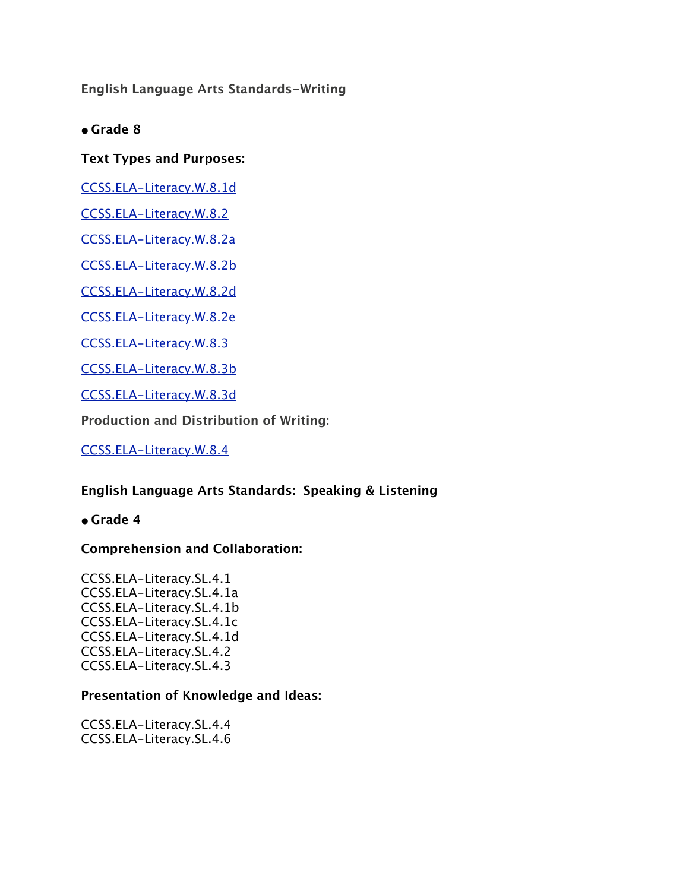**English Language Arts Standards-Writing** 

**• Grade 8**

**Text Types and Purposes:**

[CCSS.ELA-Literacy.W.8.1d](http://www.corestandards.org/ELA-Literacy/W/8/1/d/)

[CCSS.ELA-Literacy.W.8.2](http://www.corestandards.org/ELA-Literacy/W/8/2/)

[CCSS.ELA-Literacy.W.8.2a](http://www.corestandards.org/ELA-Literacy/W/8/2/a/)

[CCSS.ELA-Literacy.W.8.2b](http://www.corestandards.org/ELA-Literacy/W/8/2/b/)

[CCSS.ELA-Literacy.W.8.2d](http://www.corestandards.org/ELA-Literacy/W/8/2/d/)

[CCSS.ELA-Literacy.W.8.2e](http://www.corestandards.org/ELA-Literacy/W/8/2/e/)

[CCSS.ELA-Literacy.W.8.3](http://www.corestandards.org/ELA-Literacy/W/8/3/)

[CCSS.ELA-Literacy.W.8.3b](http://www.corestandards.org/ELA-Literacy/W/8/3/b/)

[CCSS.ELA-Literacy.W.8.3d](http://www.corestandards.org/ELA-Literacy/W/8/3/d/)

**Production and Distribution of Writing:**

[CCSS.ELA-Literacy.W.8.4](http://www.corestandards.org/ELA-Literacy/W/8/4/)

#### **English Language Arts Standards: Speaking & Listening**

**• Grade 4**

#### **Comprehension and Collaboration:**

CCSS.ELA-Literacy.SL.4.1 CCSS.ELA-Literacy.SL.4.1a CCSS.ELA-Literacy.SL.4.1b CCSS.ELA-Literacy.SL.4.1c CCSS.ELA-Literacy.SL.4.1d CCSS.ELA-Literacy.SL.4.2 CCSS.ELA-Literacy.SL.4.3

#### **Presentation of Knowledge and Ideas:**

CCSS.ELA-Literacy.SL.4.4 CCSS.ELA-Literacy.SL.4.6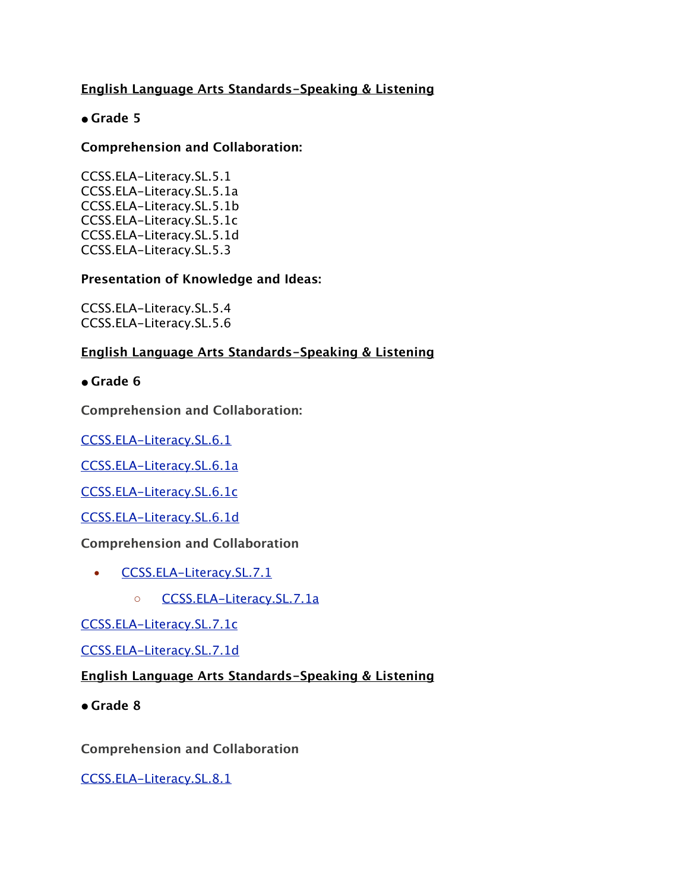# **English Language Arts Standards-Speaking & Listening**

# **• Grade 5**

## **Comprehension and Collaboration:**

CCSS.ELA-Literacy.SL.5.1 CCSS.ELA-Literacy.SL.5.1a CCSS.ELA-Literacy.SL.5.1b CCSS.ELA-Literacy.SL.5.1c CCSS.ELA-Literacy.SL.5.1d CCSS.ELA-Literacy.SL.5.3

### **Presentation of Knowledge and Ideas:**

CCSS.ELA-Literacy.SL.5.4 CCSS.ELA-Literacy.SL.5.6

### **English Language Arts Standards-Speaking & Listening**

**• Grade 6**

**Comprehension and Collaboration:**

[CCSS.ELA-Literacy.SL.6.1](http://www.corestandards.org/ELA-Literacy/SL/6/1/)

[CCSS.ELA-Literacy.SL.6.1a](http://www.corestandards.org/ELA-Literacy/SL/6/1/a/)

[CCSS.ELA-Literacy.SL.6.1c](http://www.corestandards.org/ELA-Literacy/SL/6/1/c/)

[CCSS.ELA-Literacy.SL.6.1d](http://www.corestandards.org/ELA-Literacy/SL/6/1/d/)

#### **Comprehension and Collaboration**

- **[CCSS.ELA-Literacy.SL.7.1](http://www.corestandards.org/ELA-Literacy/SL/7/1/)** 
	- [CCSS.ELA-Literacy.SL.7.1a](http://www.corestandards.org/ELA-Literacy/SL/7/1/a/)

[CCSS.ELA-Literacy.SL.7.1c](http://www.corestandards.org/ELA-Literacy/SL/7/1/c/)

[CCSS.ELA-Literacy.SL.7.1d](http://www.corestandards.org/ELA-Literacy/SL/7/1/d/)

## **English Language Arts Standards-Speaking & Listening**

**• Grade 8**

**Comprehension and Collaboration**

[CCSS.ELA-Literacy.SL.8.1](http://www.corestandards.org/ELA-Literacy/SL/8/1/)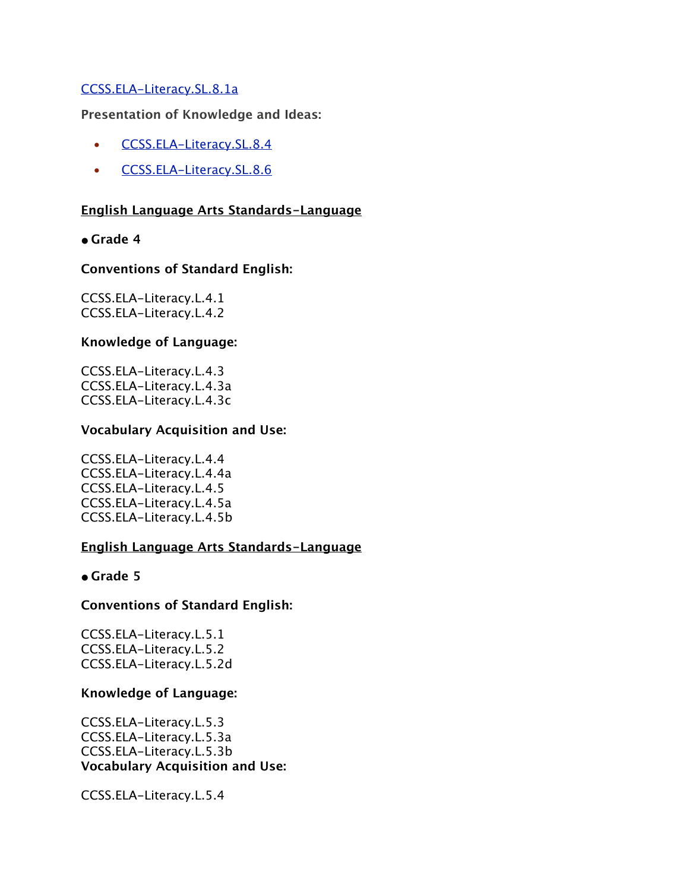## [CCSS.ELA-Literacy.SL.8.1a](http://www.corestandards.org/ELA-Literacy/SL/8/1/a/)

**Presentation of Knowledge and Ideas:**

- [CCSS.ELA-Literacy.SL.8.4](http://www.corestandards.org/ELA-Literacy/SL/8/4/)
- [CCSS.ELA-Literacy.SL.8.6](http://www.corestandards.org/ELA-Literacy/SL/8/6/)

#### **English Language Arts Standards-Language**

#### **• Grade 4**

#### **Conventions of Standard English:**

CCSS.ELA-Literacy.L.4.1 CCSS.ELA-Literacy.L.4.2

#### **Knowledge of Language:**

CCSS.ELA-Literacy.L.4.3 CCSS.ELA-Literacy.L.4.3a CCSS.ELA-Literacy.L.4.3c

#### **Vocabulary Acquisition and Use:**

CCSS.ELA-Literacy.L.4.4 CCSS.ELA-Literacy.L.4.4a CCSS.ELA-Literacy.L.4.5 CCSS.ELA-Literacy.L.4.5a CCSS.ELA-Literacy.L.4.5b

#### **English Language Arts Standards-Language**

**• Grade 5**

#### **Conventions of Standard English:**

CCSS.ELA-Literacy.L.5.1 CCSS.ELA-Literacy.L.5.2 CCSS.ELA-Literacy.L.5.2d

#### **Knowledge of Language:**

CCSS.ELA-Literacy.L.5.3 CCSS.ELA-Literacy.L.5.3a CCSS.ELA-Literacy.L.5.3b **Vocabulary Acquisition and Use:**

CCSS.ELA-Literacy.L.5.4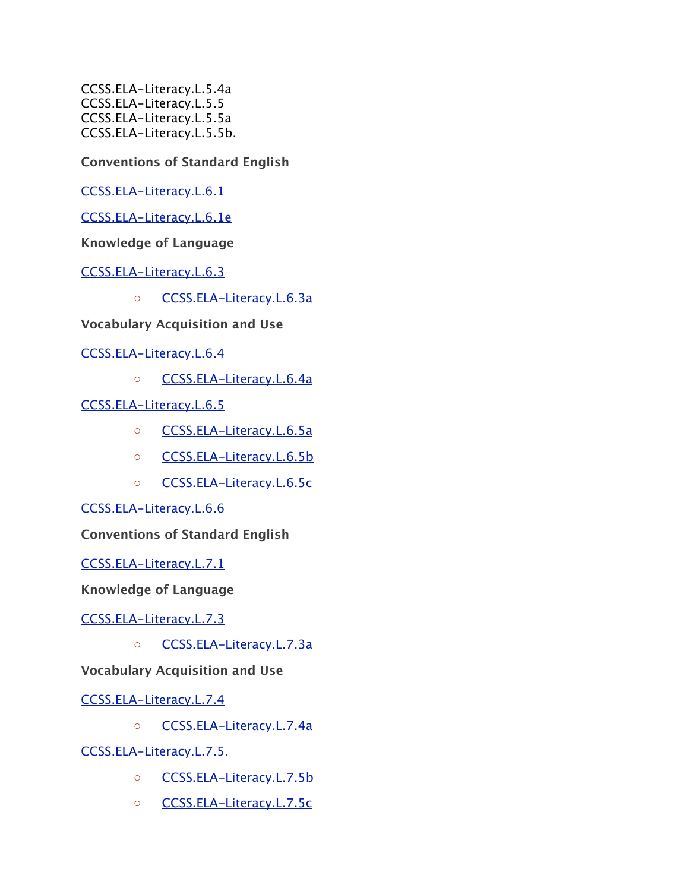CCSS.ELA-Literacy.L.5.4a CCSS.ELA-Literacy.L.5.5 CCSS.ELA-Literacy.L.5.5a CCSS.ELA-Literacy.L.5.5b.

**Conventions of Standard English**

[CCSS.ELA-Literacy.L.6.1](http://www.corestandards.org/ELA-Literacy/L/6/1/)

[CCSS.ELA-Literacy.L.6.1e](http://www.corestandards.org/ELA-Literacy/L/6/1/e/)

**Knowledge of Language**

[CCSS.ELA-Literacy.L.6.3](http://www.corestandards.org/ELA-Literacy/L/6/3/)

◦ [CCSS.ELA-Literacy.L.6.3a](http://www.corestandards.org/ELA-Literacy/L/6/3/a/)

**Vocabulary Acquisition and Use**

[CCSS.ELA-Literacy.L.6.4](http://www.corestandards.org/ELA-Literacy/L/6/4/)

◦ [CCSS.ELA-Literacy.L.6.4a](http://www.corestandards.org/ELA-Literacy/L/6/4/a/)

[CCSS.ELA-Literacy.L.6.5](http://www.corestandards.org/ELA-Literacy/L/6/5/)

- [CCSS.ELA-Literacy.L.6.5a](http://www.corestandards.org/ELA-Literacy/L/6/5/a/)
- [CCSS.ELA-Literacy.L.6.5b](http://www.corestandards.org/ELA-Literacy/L/6/5/b/)
- [CCSS.ELA-Literacy.L.6.5c](http://www.corestandards.org/ELA-Literacy/L/6/5/c/)

[CCSS.ELA-Literacy.L.6.6](http://www.corestandards.org/ELA-Literacy/L/6/6/)

**Conventions of Standard English**

[CCSS.ELA-Literacy.L.7.1](http://www.corestandards.org/ELA-Literacy/L/7/1/)

**Knowledge of Language**

[CCSS.ELA-Literacy.L.7.3](http://www.corestandards.org/ELA-Literacy/L/7/3/)

◦ [CCSS.ELA-Literacy.L.7.3a](http://www.corestandards.org/ELA-Literacy/L/7/3/a/)

# **Vocabulary Acquisition and Use**

[CCSS.ELA-Literacy.L.7.4](http://www.corestandards.org/ELA-Literacy/L/7/4/)

◦ [CCSS.ELA-Literacy.L.7.4a](http://www.corestandards.org/ELA-Literacy/L/7/4/a/)

[CCSS.ELA-Literacy.L.7.5.](http://www.corestandards.org/ELA-Literacy/L/7/5/)

- [CCSS.ELA-Literacy.L.7.5b](http://www.corestandards.org/ELA-Literacy/L/7/5/b/)
- [CCSS.ELA-Literacy.L.7.5c](http://www.corestandards.org/ELA-Literacy/L/7/5/c/)